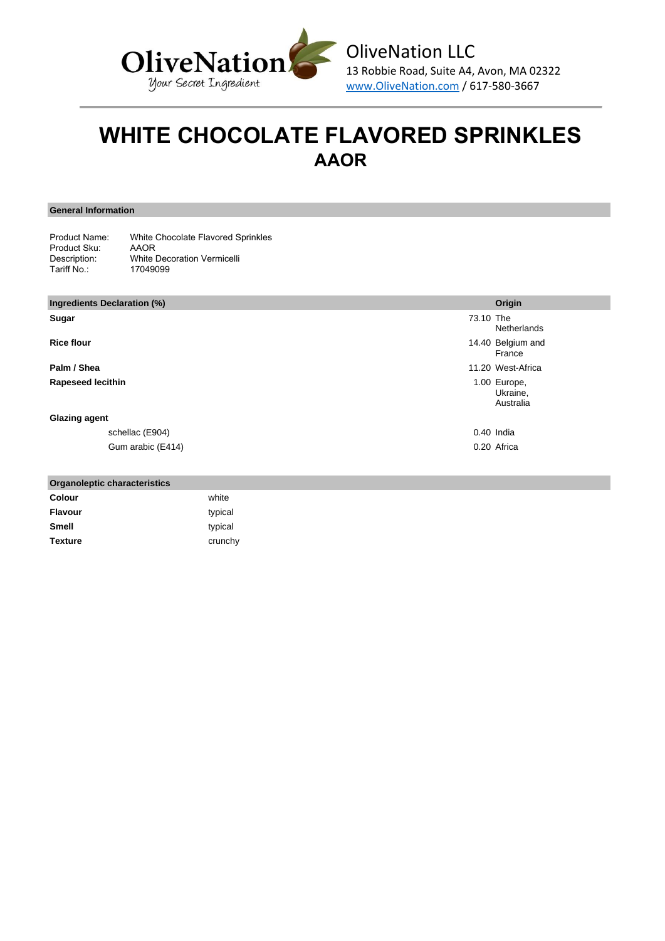

# **WHITE CHOCOLATE FLAVORED SPRINKLES AAOR**

**General Information**

| Product Name: | White Chocolate Flavored Sprinkles |
|---------------|------------------------------------|
| Product Sku:  | AAOR                               |
| Description:  | <b>White Decoration Vermicelli</b> |
| Tariff No.:   | 17049099                           |

| Ingredients Declaration (%) |                   |           | Origin                                |
|-----------------------------|-------------------|-----------|---------------------------------------|
| Sugar                       |                   | 73.10 The | Netherlands                           |
| <b>Rice flour</b>           |                   |           | 14.40 Belgium and<br>France           |
| Palm / Shea                 |                   |           | 11.20 West-Africa                     |
| <b>Rapeseed lecithin</b>    |                   |           | 1.00 Europe,<br>Ukraine,<br>Australia |
| <b>Glazing agent</b>        |                   |           |                                       |
|                             | schellac (E904)   |           | 0.40 India                            |
|                             | Gum arabic (E414) |           | 0.20 Africa                           |

| <b>Organoleptic characteristics</b> |         |
|-------------------------------------|---------|
| Colour                              | white   |
| <b>Flavour</b>                      | typical |
| <b>Smell</b>                        | typical |
| <b>Texture</b>                      | crunchy |
|                                     |         |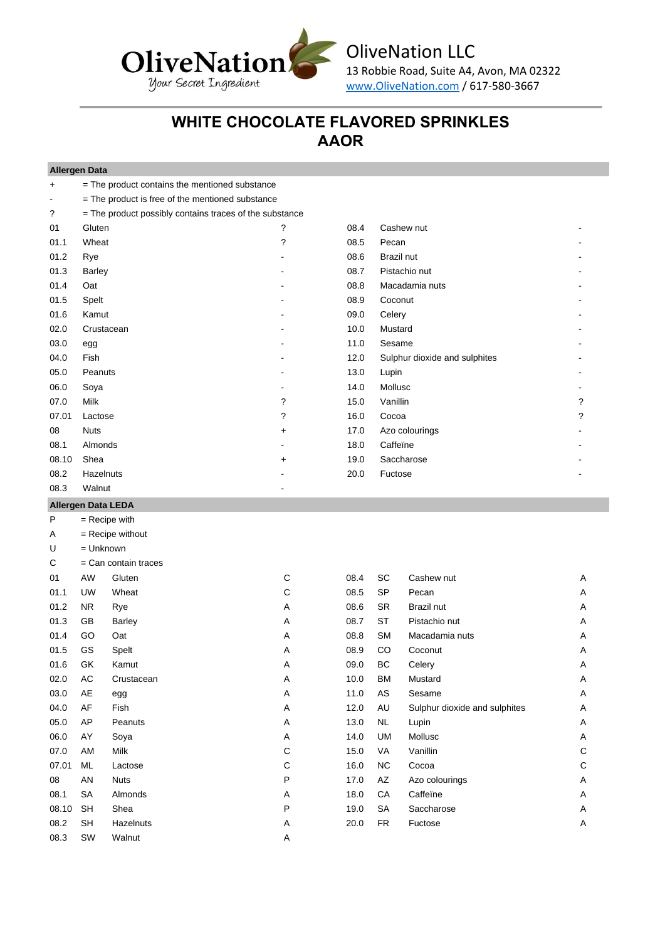

OliveNation LLC 13 Robbie Road, Suite A4, Avon, MA 02322

www.OliveNation.com / 617-580-3667

## **WHITE CHOCOLATE FLAVORED SPRINKLES AAOR**

### **Allergen Data**

| +     | = The product contains the mentioned substance          |           |      |                               |   |
|-------|---------------------------------------------------------|-----------|------|-------------------------------|---|
|       | = The product is free of the mentioned substance        |           |      |                               |   |
| ?     | = The product possibly contains traces of the substance |           |      |                               |   |
| 01    | Gluten                                                  | ?         | 08.4 | Cashew nut                    |   |
| 01.1  | Wheat                                                   | ?         | 08.5 | Pecan                         |   |
| 01.2  | Rye                                                     |           | 08.6 | Brazil nut                    |   |
| 01.3  | Barley                                                  |           | 08.7 | Pistachio nut                 |   |
| 01.4  | Oat                                                     |           | 08.8 | Macadamia nuts                |   |
| 01.5  | Spelt                                                   |           | 08.9 | Coconut                       |   |
| 01.6  | Kamut                                                   |           | 09.0 | Celery                        |   |
| 02.0  | Crustacean                                              |           | 10.0 | Mustard                       |   |
| 03.0  | egg                                                     |           | 11.0 | Sesame                        |   |
| 04.0  | Fish                                                    |           | 12.0 | Sulphur dioxide and sulphites |   |
| 05.0  | Peanuts                                                 |           | 13.0 | Lupin                         |   |
| 06.0  | Soya                                                    |           | 14.0 | Mollusc                       |   |
| 07.0  | <b>Milk</b>                                             | ?         | 15.0 | Vanillin                      | ? |
| 07.01 | Lactose                                                 | ?         | 16.0 | Cocoa                         | ? |
| 08    | <b>Nuts</b>                                             | $\ddot{}$ | 17.0 | Azo colourings                |   |
| 08.1  | Almonds                                                 |           | 18.0 | Caffeïne                      |   |
| 08.10 | Shea                                                    | $\ddot{}$ | 19.0 | Saccharose                    |   |
| 08.2  | Hazelnuts                                               |           | 20.0 | Fuctose                       |   |
| 08.3  | Walnut                                                  | -         |      |                               |   |

### **Allergen Data LEDA**

|       | $1$ urvigori para $=$ |                        |   |      |           |                               |             |
|-------|-----------------------|------------------------|---|------|-----------|-------------------------------|-------------|
| P     |                       | $=$ Recipe with        |   |      |           |                               |             |
| Α     |                       | $=$ Recipe without     |   |      |           |                               |             |
| U     | $=$ Unknown           |                        |   |      |           |                               |             |
| C     |                       | $=$ Can contain traces |   |      |           |                               |             |
| 01    | AW                    | Gluten                 | С | 08.4 | SC        | Cashew nut                    | Α           |
| 01.1  | <b>UW</b>             | Wheat                  | C | 08.5 | SP        | Pecan                         | Α           |
| 01.2  | <b>NR</b>             | Rye                    | Α | 08.6 | <b>SR</b> | Brazil nut                    | Α           |
| 01.3  | GB                    | <b>Barley</b>          | Α | 08.7 | ST        | Pistachio nut                 | Α           |
| 01.4  | GO                    | Oat                    | Α | 08.8 | <b>SM</b> | Macadamia nuts                | Α           |
| 01.5  | GS                    | Spelt                  | Α | 08.9 | CO        | Coconut                       | Α           |
| 01.6  | GK                    | Kamut                  | Α | 09.0 | ВC        | Celery                        | Α           |
| 02.0  | AC                    | Crustacean             | Α | 10.0 | <b>BM</b> | Mustard                       | Α           |
| 03.0  | AE                    | egg                    | Α | 11.0 | AS        | Sesame                        | Α           |
| 04.0  | AF                    | Fish                   | Α | 12.0 | AU        | Sulphur dioxide and sulphites | Α           |
| 05.0  | AP                    | Peanuts                | Α | 13.0 | <b>NL</b> | Lupin                         | Α           |
| 06.0  | AY                    | Soya                   | Α | 14.0 | UM        | Mollusc                       | Α           |
| 07.0  | AM                    | Milk                   | С | 15.0 | VA        | Vanillin                      | C           |
| 07.01 | ML                    | Lactose                | С | 16.0 | <b>NC</b> | Cocoa                         | $\mathsf C$ |
| 08    | AN                    | <b>Nuts</b>            | P | 17.0 | AZ        | Azo colourings                | Α           |
| 08.1  | <b>SA</b>             | Almonds                | Α | 18.0 | CA        | Caffeine                      | Α           |
| 08.10 | <b>SH</b>             | Shea                   | P | 19.0 | SA        | Saccharose                    | Α           |
| 08.2  | <b>SH</b>             | Hazelnuts              | Α | 20.0 | <b>FR</b> | Fuctose                       | Α           |
| 08.3  | SW                    | Walnut                 | Α |      |           |                               |             |